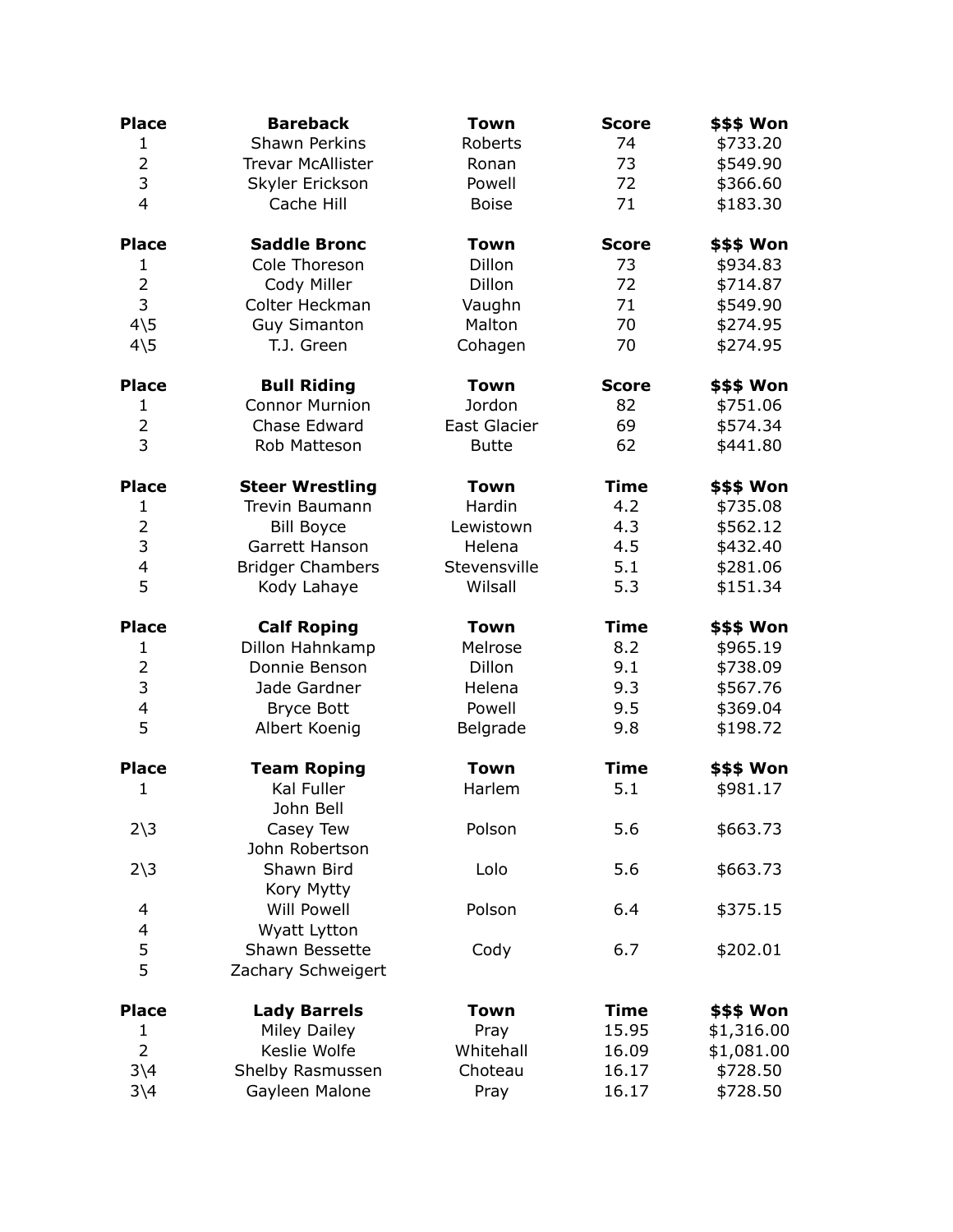| <b>Place</b>                      | <b>Bareback</b>             | <b>Town</b>         | <b>Score</b> | <b>\$\$\$ Won</b> |
|-----------------------------------|-----------------------------|---------------------|--------------|-------------------|
| $\mathbf{1}$                      | <b>Shawn Perkins</b>        | Roberts             | 74           | \$733.20          |
| $\overline{2}$                    | <b>Trevar McAllister</b>    | Ronan               | 73           | \$549.90          |
| 3                                 | Skyler Erickson             | Powell              | 72           | \$366.60          |
| $\overline{4}$                    | Cache Hill                  | <b>Boise</b>        | 71           | \$183.30          |
| <b>Place</b>                      | <b>Saddle Bronc</b>         | <b>Town</b>         | <b>Score</b> | \$\$\$ Won        |
| 1                                 | Cole Thoreson               | Dillon              | 73           | \$934.83          |
| $\overline{2}$                    | Cody Miller                 | <b>Dillon</b>       | 72           | \$714.87          |
| 3                                 | Colter Heckman              | Vaughn              | 71           | \$549.90          |
| $4\overline{5}$                   | <b>Guy Simanton</b>         | Malton              | 70           | \$274.95          |
| $4\overline{\smash{\backslash}5}$ | T.J. Green                  | Cohagen             | 70           | \$274.95          |
| <b>Place</b>                      | <b>Bull Riding</b>          | <b>Town</b>         | <b>Score</b> | \$\$\$ Won        |
| $\mathbf{1}$                      | <b>Connor Murnion</b>       | Jordon              | 82           | \$751.06          |
| $\overline{2}$                    | Chase Edward                | <b>East Glacier</b> | 69           | \$574.34          |
| 3                                 | Rob Matteson                | <b>Butte</b>        | 62           | \$441.80          |
| <b>Place</b>                      | <b>Steer Wrestling</b>      | <b>Town</b>         | <b>Time</b>  | <b>\$\$\$ Won</b> |
| 1                                 | <b>Trevin Baumann</b>       | Hardin              | 4.2          | \$735.08          |
| $\overline{2}$                    | <b>Bill Boyce</b>           | Lewistown           | 4.3          | \$562.12          |
| 3                                 | Garrett Hanson              | Helena              | 4.5          | \$432.40          |
| $\overline{\mathcal{L}}$          | <b>Bridger Chambers</b>     | Stevensville        | 5.1          | \$281.06          |
| 5                                 | Kody Lahaye                 | Wilsall             | 5.3          | \$151.34          |
| <b>Place</b>                      | <b>Calf Roping</b>          | <b>Town</b>         | <b>Time</b>  | \$\$\$ Won        |
| $\mathbf{1}$                      | Dillon Hahnkamp             | Melrose             | 8.2          | \$965.19          |
| $\overline{2}$                    | Donnie Benson               | Dillon              | 9.1          | \$738.09          |
| 3                                 | Jade Gardner                | Helena              | 9.3          | \$567.76          |
| $\overline{\mathbf{4}}$           | <b>Bryce Bott</b>           | Powell              | 9.5          | \$369.04          |
| 5                                 | Albert Koenig               | Belgrade            | 9.8          | \$198.72          |
| <b>Place</b>                      | <b>Team Roping</b>          | <b>Town</b>         | <b>Time</b>  | \$\$\$ Won        |
| $\mathbf{1}$                      | Kal Fuller<br>John Bell     | Harlem              | 5.1          | \$981.17          |
| $2\overline{\smash)3}$            | Casey Tew<br>John Robertson | Polson              | 5.6          | \$663.73          |
| $2\overline{\smash)3}$            | Shawn Bird<br>Kory Mytty    | Lolo                | 5.6          | \$663.73          |
| 4                                 | <b>Will Powell</b>          | Polson              | 6.4          | \$375.15          |
| 4                                 | Wyatt Lytton                |                     |              |                   |
| 5                                 | Shawn Bessette              | Cody                | 6.7          | \$202.01          |
| 5                                 | Zachary Schweigert          |                     |              |                   |
| <b>Place</b>                      | <b>Lady Barrels</b>         | <b>Town</b>         | <b>Time</b>  | \$\$\$ Won        |
| 1                                 | <b>Miley Dailey</b>         | Pray                | 15.95        | \$1,316.00        |
| $\overline{2}$                    | Keslie Wolfe                | Whitehall           | 16.09        | \$1,081.00        |
| $3\sqrt{4}$                       | Shelby Rasmussen            | Choteau             | 16.17        | \$728.50          |
| $3\backslash4$                    | Gayleen Malone              | Pray                | 16.17        | \$728.50          |